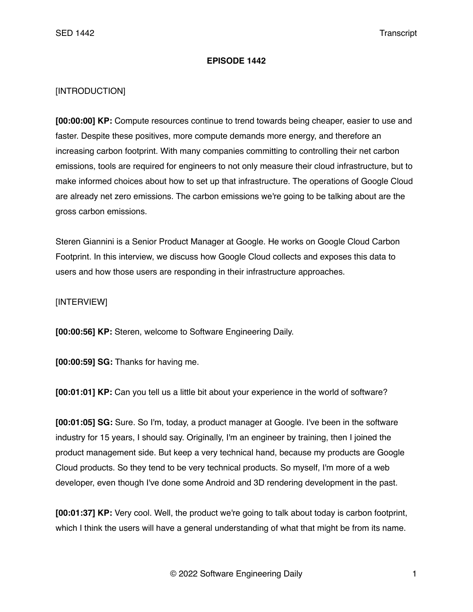## **EPISODE 1442**

## [INTRODUCTION]

**[00:00:00] KP:** Compute resources continue to trend towards being cheaper, easier to use and faster. Despite these positives, more compute demands more energy, and therefore an increasing carbon footprint. With many companies committing to controlling their net carbon emissions, tools are required for engineers to not only measure their cloud infrastructure, but to make informed choices about how to set up that infrastructure. The operations of Google Cloud are already net zero emissions. The carbon emissions we're going to be talking about are the gross carbon emissions.

Steren Giannini is a Senior Product Manager at Google. He works on Google Cloud Carbon Footprint. In this interview, we discuss how Google Cloud collects and exposes this data to users and how those users are responding in their infrastructure approaches.

## [INTERVIEW]

**[00:00:56] KP:** Steren, welcome to Software Engineering Daily.

**[00:00:59] SG:** Thanks for having me.

**[00:01:01] KP:** Can you tell us a little bit about your experience in the world of software?

**[00:01:05] SG:** Sure. So I'm, today, a product manager at Google. I've been in the software industry for 15 years, I should say. Originally, I'm an engineer by training, then I joined the product management side. But keep a very technical hand, because my products are Google Cloud products. So they tend to be very technical products. So myself, I'm more of a web developer, even though I've done some Android and 3D rendering development in the past.

**[00:01:37] KP:** Very cool. Well, the product we're going to talk about today is carbon footprint, which I think the users will have a general understanding of what that might be from its name.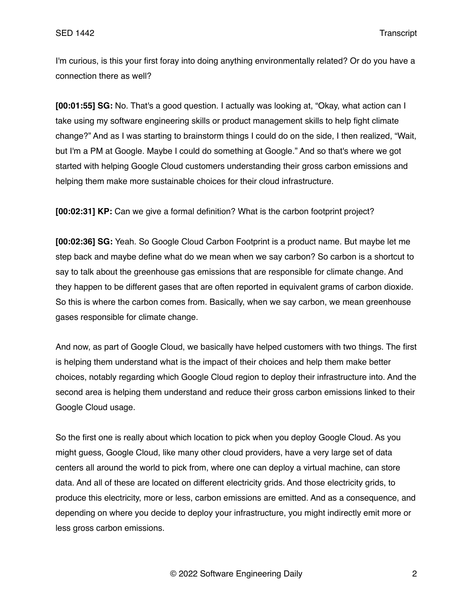I'm curious, is this your first foray into doing anything environmentally related? Or do you have a connection there as well?

**[00:01:55] SG:** No. That's a good question. I actually was looking at, "Okay, what action can I take using my software engineering skills or product management skills to help fight climate change?" And as I was starting to brainstorm things I could do on the side, I then realized, "Wait, but I'm a PM at Google. Maybe I could do something at Google." And so that's where we got started with helping Google Cloud customers understanding their gross carbon emissions and helping them make more sustainable choices for their cloud infrastructure.

**[00:02:31] KP:** Can we give a formal definition? What is the carbon footprint project?

**[00:02:36] SG:** Yeah. So Google Cloud Carbon Footprint is a product name. But maybe let me step back and maybe define what do we mean when we say carbon? So carbon is a shortcut to say to talk about the greenhouse gas emissions that are responsible for climate change. And they happen to be different gases that are often reported in equivalent grams of carbon dioxide. So this is where the carbon comes from. Basically, when we say carbon, we mean greenhouse gases responsible for climate change.

And now, as part of Google Cloud, we basically have helped customers with two things. The first is helping them understand what is the impact of their choices and help them make better choices, notably regarding which Google Cloud region to deploy their infrastructure into. And the second area is helping them understand and reduce their gross carbon emissions linked to their Google Cloud usage.

So the first one is really about which location to pick when you deploy Google Cloud. As you might guess, Google Cloud, like many other cloud providers, have a very large set of data centers all around the world to pick from, where one can deploy a virtual machine, can store data. And all of these are located on different electricity grids. And those electricity grids, to produce this electricity, more or less, carbon emissions are emitted. And as a consequence, and depending on where you decide to deploy your infrastructure, you might indirectly emit more or less gross carbon emissions.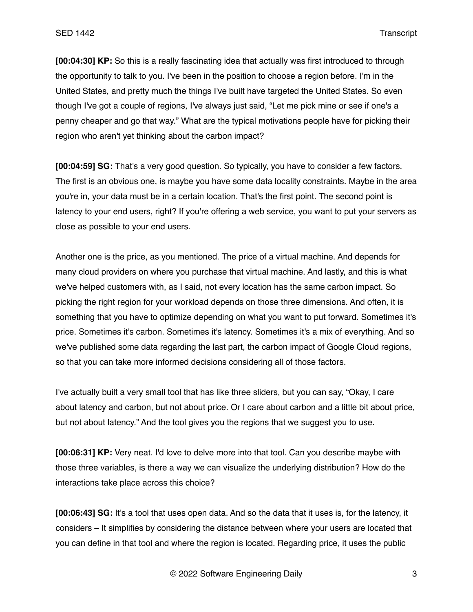**[00:04:30] KP:** So this is a really fascinating idea that actually was first introduced to through the opportunity to talk to you. I've been in the position to choose a region before. I'm in the United States, and pretty much the things I've built have targeted the United States. So even though I've got a couple of regions, I've always just said, "Let me pick mine or see if one's a penny cheaper and go that way." What are the typical motivations people have for picking their region who aren't yet thinking about the carbon impact?

**[00:04:59] SG:** That's a very good question. So typically, you have to consider a few factors. The first is an obvious one, is maybe you have some data locality constraints. Maybe in the area you're in, your data must be in a certain location. That's the first point. The second point is latency to your end users, right? If you're offering a web service, you want to put your servers as close as possible to your end users.

Another one is the price, as you mentioned. The price of a virtual machine. And depends for many cloud providers on where you purchase that virtual machine. And lastly, and this is what we've helped customers with, as I said, not every location has the same carbon impact. So picking the right region for your workload depends on those three dimensions. And often, it is something that you have to optimize depending on what you want to put forward. Sometimes it's price. Sometimes it's carbon. Sometimes it's latency. Sometimes it's a mix of everything. And so we've published some data regarding the last part, the carbon impact of Google Cloud regions, so that you can take more informed decisions considering all of those factors.

I've actually built a very small tool that has like three sliders, but you can say, "Okay, I care about latency and carbon, but not about price. Or I care about carbon and a little bit about price, but not about latency." And the tool gives you the regions that we suggest you to use.

**[00:06:31] KP:** Very neat. I'd love to delve more into that tool. Can you describe maybe with those three variables, is there a way we can visualize the underlying distribution? How do the interactions take place across this choice?

**[00:06:43] SG:** It's a tool that uses open data. And so the data that it uses is, for the latency, it considers – It simplifies by considering the distance between where your users are located that you can define in that tool and where the region is located. Regarding price, it uses the public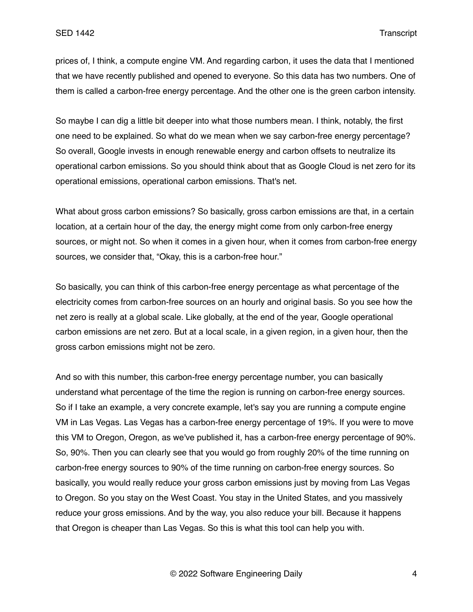prices of, I think, a compute engine VM. And regarding carbon, it uses the data that I mentioned that we have recently published and opened to everyone. So this data has two numbers. One of them is called a carbon-free energy percentage. And the other one is the green carbon intensity.

So maybe I can dig a little bit deeper into what those numbers mean. I think, notably, the first one need to be explained. So what do we mean when we say carbon-free energy percentage? So overall, Google invests in enough renewable energy and carbon offsets to neutralize its operational carbon emissions. So you should think about that as Google Cloud is net zero for its operational emissions, operational carbon emissions. That's net.

What about gross carbon emissions? So basically, gross carbon emissions are that, in a certain location, at a certain hour of the day, the energy might come from only carbon-free energy sources, or might not. So when it comes in a given hour, when it comes from carbon-free energy sources, we consider that, "Okay, this is a carbon-free hour."

So basically, you can think of this carbon-free energy percentage as what percentage of the electricity comes from carbon-free sources on an hourly and original basis. So you see how the net zero is really at a global scale. Like globally, at the end of the year, Google operational carbon emissions are net zero. But at a local scale, in a given region, in a given hour, then the gross carbon emissions might not be zero.

And so with this number, this carbon-free energy percentage number, you can basically understand what percentage of the time the region is running on carbon-free energy sources. So if I take an example, a very concrete example, let's say you are running a compute engine VM in Las Vegas. Las Vegas has a carbon-free energy percentage of 19%. If you were to move this VM to Oregon, Oregon, as we've published it, has a carbon-free energy percentage of 90%. So, 90%. Then you can clearly see that you would go from roughly 20% of the time running on carbon-free energy sources to 90% of the time running on carbon-free energy sources. So basically, you would really reduce your gross carbon emissions just by moving from Las Vegas to Oregon. So you stay on the West Coast. You stay in the United States, and you massively reduce your gross emissions. And by the way, you also reduce your bill. Because it happens that Oregon is cheaper than Las Vegas. So this is what this tool can help you with.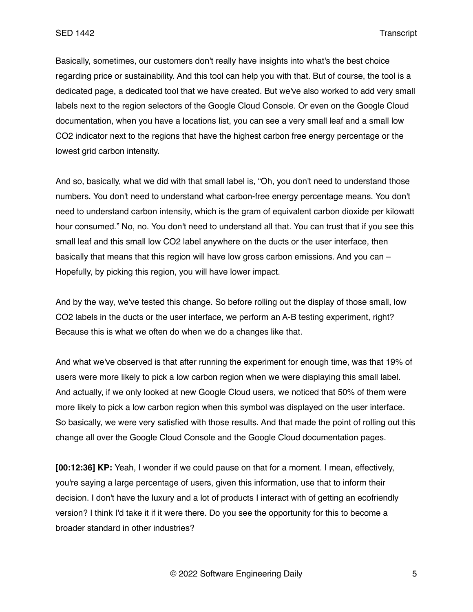Basically, sometimes, our customers don't really have insights into what's the best choice regarding price or sustainability. And this tool can help you with that. But of course, the tool is a dedicated page, a dedicated tool that we have created. But we've also worked to add very small labels next to the region selectors of the Google Cloud Console. Or even on the Google Cloud documentation, when you have a locations list, you can see a very small leaf and a small low CO2 indicator next to the regions that have the highest carbon free energy percentage or the lowest grid carbon intensity.

And so, basically, what we did with that small label is, "Oh, you don't need to understand those numbers. You don't need to understand what carbon-free energy percentage means. You don't need to understand carbon intensity, which is the gram of equivalent carbon dioxide per kilowatt hour consumed." No, no. You don't need to understand all that. You can trust that if you see this small leaf and this small low CO2 label anywhere on the ducts or the user interface, then basically that means that this region will have low gross carbon emissions. And you can – Hopefully, by picking this region, you will have lower impact.

And by the way, we've tested this change. So before rolling out the display of those small, low CO2 labels in the ducts or the user interface, we perform an A-B testing experiment, right? Because this is what we often do when we do a changes like that.

And what we've observed is that after running the experiment for enough time, was that 19% of users were more likely to pick a low carbon region when we were displaying this small label. And actually, if we only looked at new Google Cloud users, we noticed that 50% of them were more likely to pick a low carbon region when this symbol was displayed on the user interface. So basically, we were very satisfied with those results. And that made the point of rolling out this change all over the Google Cloud Console and the Google Cloud documentation pages.

**[00:12:36] KP:** Yeah, I wonder if we could pause on that for a moment. I mean, effectively, you're saying a large percentage of users, given this information, use that to inform their decision. I don't have the luxury and a lot of products I interact with of getting an ecofriendly version? I think I'd take it if it were there. Do you see the opportunity for this to become a broader standard in other industries?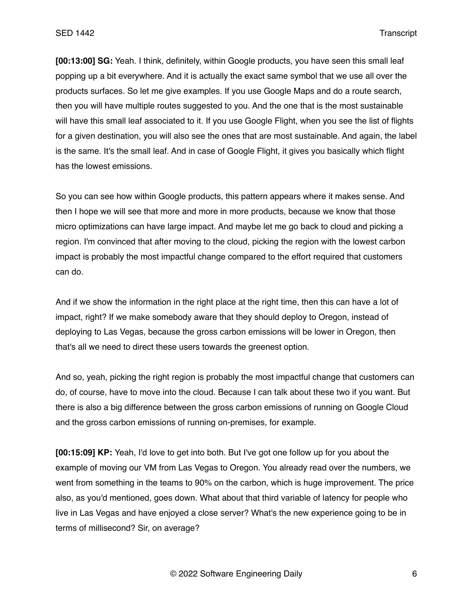**[00:13:00] SG:** Yeah. I think, definitely, within Google products, you have seen this small leaf popping up a bit everywhere. And it is actually the exact same symbol that we use all over the products surfaces. So let me give examples. If you use Google Maps and do a route search, then you will have multiple routes suggested to you. And the one that is the most sustainable will have this small leaf associated to it. If you use Google Flight, when you see the list of flights for a given destination, you will also see the ones that are most sustainable. And again, the label is the same. It's the small leaf. And in case of Google Flight, it gives you basically which flight has the lowest emissions.

So you can see how within Google products, this pattern appears where it makes sense. And then I hope we will see that more and more in more products, because we know that those micro optimizations can have large impact. And maybe let me go back to cloud and picking a region. I'm convinced that after moving to the cloud, picking the region with the lowest carbon impact is probably the most impactful change compared to the effort required that customers can do.

And if we show the information in the right place at the right time, then this can have a lot of impact, right? If we make somebody aware that they should deploy to Oregon, instead of deploying to Las Vegas, because the gross carbon emissions will be lower in Oregon, then that's all we need to direct these users towards the greenest option.

And so, yeah, picking the right region is probably the most impactful change that customers can do, of course, have to move into the cloud. Because I can talk about these two if you want. But there is also a big difference between the gross carbon emissions of running on Google Cloud and the gross carbon emissions of running on-premises, for example.

**[00:15:09] KP:** Yeah, I'd love to get into both. But I've got one follow up for you about the example of moving our VM from Las Vegas to Oregon. You already read over the numbers, we went from something in the teams to 90% on the carbon, which is huge improvement. The price also, as you'd mentioned, goes down. What about that third variable of latency for people who live in Las Vegas and have enjoyed a close server? What's the new experience going to be in terms of millisecond? Sir, on average?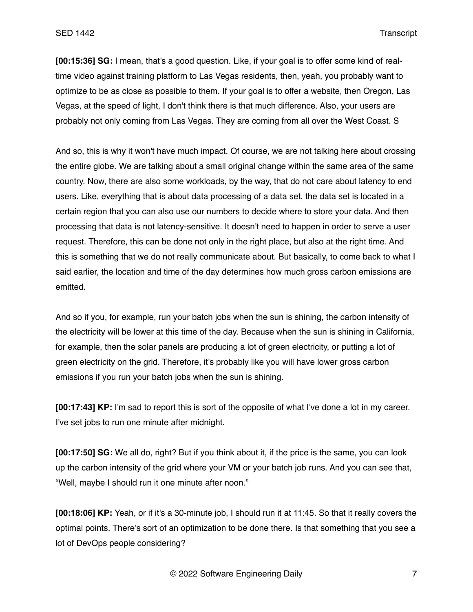**[00:15:36] SG:** I mean, that's a good question. Like, if your goal is to offer some kind of realtime video against training platform to Las Vegas residents, then, yeah, you probably want to optimize to be as close as possible to them. If your goal is to offer a website, then Oregon, Las Vegas, at the speed of light, I don't think there is that much difference. Also, your users are probably not only coming from Las Vegas. They are coming from all over the West Coast. S

And so, this is why it won't have much impact. Of course, we are not talking here about crossing the entire globe. We are talking about a small original change within the same area of the same country. Now, there are also some workloads, by the way, that do not care about latency to end users. Like, everything that is about data processing of a data set, the data set is located in a certain region that you can also use our numbers to decide where to store your data. And then processing that data is not latency-sensitive. It doesn't need to happen in order to serve a user request. Therefore, this can be done not only in the right place, but also at the right time. And this is something that we do not really communicate about. But basically, to come back to what I said earlier, the location and time of the day determines how much gross carbon emissions are emitted.

And so if you, for example, run your batch jobs when the sun is shining, the carbon intensity of the electricity will be lower at this time of the day. Because when the sun is shining in California, for example, then the solar panels are producing a lot of green electricity, or putting a lot of green electricity on the grid. Therefore, it's probably like you will have lower gross carbon emissions if you run your batch jobs when the sun is shining.

**[00:17:43] KP:** I'm sad to report this is sort of the opposite of what I've done a lot in my career. I've set jobs to run one minute after midnight.

**[00:17:50] SG:** We all do, right? But if you think about it, if the price is the same, you can look up the carbon intensity of the grid where your VM or your batch job runs. And you can see that, "Well, maybe I should run it one minute after noon."

**[00:18:06] KP:** Yeah, or if it's a 30-minute job, I should run it at 11:45. So that it really covers the optimal points. There's sort of an optimization to be done there. Is that something that you see a lot of DevOps people considering?

© 2022 Software Engineering Daily 7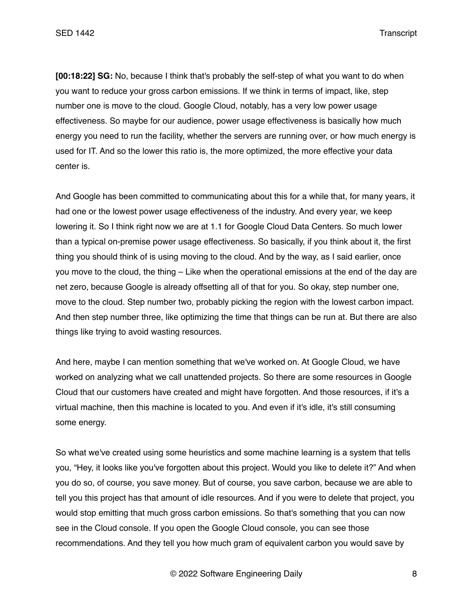**[00:18:22] SG:** No, because I think that's probably the self-step of what you want to do when you want to reduce your gross carbon emissions. If we think in terms of impact, like, step number one is move to the cloud. Google Cloud, notably, has a very low power usage effectiveness. So maybe for our audience, power usage effectiveness is basically how much energy you need to run the facility, whether the servers are running over, or how much energy is used for IT. And so the lower this ratio is, the more optimized, the more effective your data center is.

And Google has been committed to communicating about this for a while that, for many years, it had one or the lowest power usage effectiveness of the industry. And every year, we keep lowering it. So I think right now we are at 1.1 for Google Cloud Data Centers. So much lower than a typical on-premise power usage effectiveness. So basically, if you think about it, the first thing you should think of is using moving to the cloud. And by the way, as I said earlier, once you move to the cloud, the thing – Like when the operational emissions at the end of the day are net zero, because Google is already offsetting all of that for you. So okay, step number one, move to the cloud. Step number two, probably picking the region with the lowest carbon impact. And then step number three, like optimizing the time that things can be run at. But there are also things like trying to avoid wasting resources.

And here, maybe I can mention something that we've worked on. At Google Cloud, we have worked on analyzing what we call unattended projects. So there are some resources in Google Cloud that our customers have created and might have forgotten. And those resources, if it's a virtual machine, then this machine is located to you. And even if it's idle, it's still consuming some energy.

So what we've created using some heuristics and some machine learning is a system that tells you, "Hey, it looks like you've forgotten about this project. Would you like to delete it?" And when you do so, of course, you save money. But of course, you save carbon, because we are able to tell you this project has that amount of idle resources. And if you were to delete that project, you would stop emitting that much gross carbon emissions. So that's something that you can now see in the Cloud console. If you open the Google Cloud console, you can see those recommendations. And they tell you how much gram of equivalent carbon you would save by

© 2022 Software Engineering Daily 8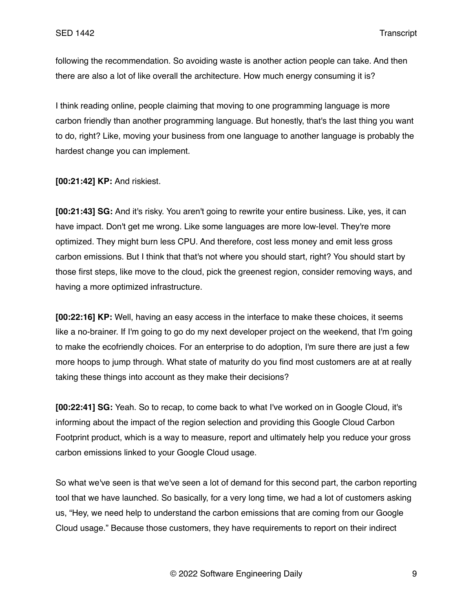following the recommendation. So avoiding waste is another action people can take. And then there are also a lot of like overall the architecture. How much energy consuming it is?

I think reading online, people claiming that moving to one programming language is more carbon friendly than another programming language. But honestly, that's the last thing you want to do, right? Like, moving your business from one language to another language is probably the hardest change you can implement.

**[00:21:42] KP:** And riskiest.

**[00:21:43] SG:** And it's risky. You aren't going to rewrite your entire business. Like, yes, it can have impact. Don't get me wrong. Like some languages are more low-level. They're more optimized. They might burn less CPU. And therefore, cost less money and emit less gross carbon emissions. But I think that that's not where you should start, right? You should start by those first steps, like move to the cloud, pick the greenest region, consider removing ways, and having a more optimized infrastructure.

**[00:22:16] KP:** Well, having an easy access in the interface to make these choices, it seems like a no-brainer. If I'm going to go do my next developer project on the weekend, that I'm going to make the ecofriendly choices. For an enterprise to do adoption, I'm sure there are just a few more hoops to jump through. What state of maturity do you find most customers are at at really taking these things into account as they make their decisions?

**[00:22:41] SG:** Yeah. So to recap, to come back to what I've worked on in Google Cloud, it's informing about the impact of the region selection and providing this Google Cloud Carbon Footprint product, which is a way to measure, report and ultimately help you reduce your gross carbon emissions linked to your Google Cloud usage.

So what we've seen is that we've seen a lot of demand for this second part, the carbon reporting tool that we have launched. So basically, for a very long time, we had a lot of customers asking us, "Hey, we need help to understand the carbon emissions that are coming from our Google Cloud usage." Because those customers, they have requirements to report on their indirect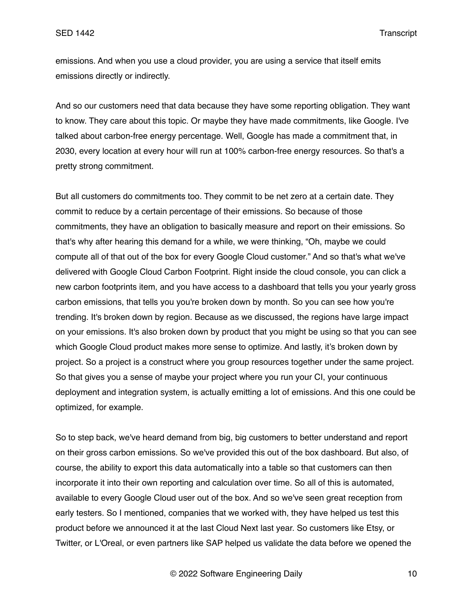emissions. And when you use a cloud provider, you are using a service that itself emits emissions directly or indirectly.

And so our customers need that data because they have some reporting obligation. They want to know. They care about this topic. Or maybe they have made commitments, like Google. I've talked about carbon-free energy percentage. Well, Google has made a commitment that, in 2030, every location at every hour will run at 100% carbon-free energy resources. So that's a pretty strong commitment.

But all customers do commitments too. They commit to be net zero at a certain date. They commit to reduce by a certain percentage of their emissions. So because of those commitments, they have an obligation to basically measure and report on their emissions. So that's why after hearing this demand for a while, we were thinking, "Oh, maybe we could compute all of that out of the box for every Google Cloud customer." And so that's what we've delivered with Google Cloud Carbon Footprint. Right inside the cloud console, you can click a new carbon footprints item, and you have access to a dashboard that tells you your yearly gross carbon emissions, that tells you you're broken down by month. So you can see how you're trending. It's broken down by region. Because as we discussed, the regions have large impact on your emissions. It's also broken down by product that you might be using so that you can see which Google Cloud product makes more sense to optimize. And lastly, it's broken down by project. So a project is a construct where you group resources together under the same project. So that gives you a sense of maybe your project where you run your CI, your continuous deployment and integration system, is actually emitting a lot of emissions. And this one could be optimized, for example.

So to step back, we've heard demand from big, big customers to better understand and report on their gross carbon emissions. So we've provided this out of the box dashboard. But also, of course, the ability to export this data automatically into a table so that customers can then incorporate it into their own reporting and calculation over time. So all of this is automated, available to every Google Cloud user out of the box. And so we've seen great reception from early testers. So I mentioned, companies that we worked with, they have helped us test this product before we announced it at the last Cloud Next last year. So customers like Etsy, or Twitter, or L'Oreal, or even partners like SAP helped us validate the data before we opened the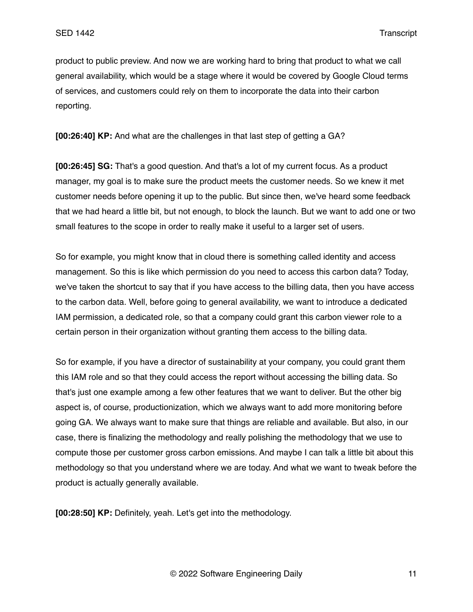product to public preview. And now we are working hard to bring that product to what we call general availability, which would be a stage where it would be covered by Google Cloud terms of services, and customers could rely on them to incorporate the data into their carbon reporting.

**[00:26:40] KP:** And what are the challenges in that last step of getting a GA?

**[00:26:45] SG:** That's a good question. And that's a lot of my current focus. As a product manager, my goal is to make sure the product meets the customer needs. So we knew it met customer needs before opening it up to the public. But since then, we've heard some feedback that we had heard a little bit, but not enough, to block the launch. But we want to add one or two small features to the scope in order to really make it useful to a larger set of users.

So for example, you might know that in cloud there is something called identity and access management. So this is like which permission do you need to access this carbon data? Today, we've taken the shortcut to say that if you have access to the billing data, then you have access to the carbon data. Well, before going to general availability, we want to introduce a dedicated IAM permission, a dedicated role, so that a company could grant this carbon viewer role to a certain person in their organization without granting them access to the billing data.

So for example, if you have a director of sustainability at your company, you could grant them this IAM role and so that they could access the report without accessing the billing data. So that's just one example among a few other features that we want to deliver. But the other big aspect is, of course, productionization, which we always want to add more monitoring before going GA. We always want to make sure that things are reliable and available. But also, in our case, there is finalizing the methodology and really polishing the methodology that we use to compute those per customer gross carbon emissions. And maybe I can talk a little bit about this methodology so that you understand where we are today. And what we want to tweak before the product is actually generally available.

**[00:28:50] KP:** Definitely, yeah. Let's get into the methodology.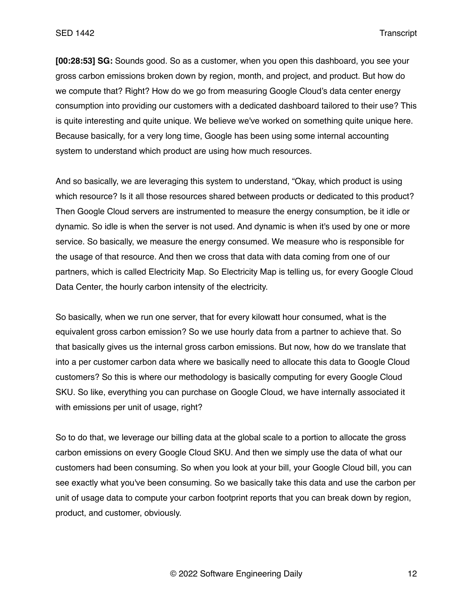**[00:28:53] SG:** Sounds good. So as a customer, when you open this dashboard, you see your gross carbon emissions broken down by region, month, and project, and product. But how do we compute that? Right? How do we go from measuring Google Cloud's data center energy consumption into providing our customers with a dedicated dashboard tailored to their use? This is quite interesting and quite unique. We believe we've worked on something quite unique here. Because basically, for a very long time, Google has been using some internal accounting system to understand which product are using how much resources.

And so basically, we are leveraging this system to understand, "Okay, which product is using which resource? Is it all those resources shared between products or dedicated to this product? Then Google Cloud servers are instrumented to measure the energy consumption, be it idle or dynamic. So idle is when the server is not used. And dynamic is when it's used by one or more service. So basically, we measure the energy consumed. We measure who is responsible for the usage of that resource. And then we cross that data with data coming from one of our partners, which is called Electricity Map. So Electricity Map is telling us, for every Google Cloud Data Center, the hourly carbon intensity of the electricity.

So basically, when we run one server, that for every kilowatt hour consumed, what is the equivalent gross carbon emission? So we use hourly data from a partner to achieve that. So that basically gives us the internal gross carbon emissions. But now, how do we translate that into a per customer carbon data where we basically need to allocate this data to Google Cloud customers? So this is where our methodology is basically computing for every Google Cloud SKU. So like, everything you can purchase on Google Cloud, we have internally associated it with emissions per unit of usage, right?

So to do that, we leverage our billing data at the global scale to a portion to allocate the gross carbon emissions on every Google Cloud SKU. And then we simply use the data of what our customers had been consuming. So when you look at your bill, your Google Cloud bill, you can see exactly what you've been consuming. So we basically take this data and use the carbon per unit of usage data to compute your carbon footprint reports that you can break down by region, product, and customer, obviously.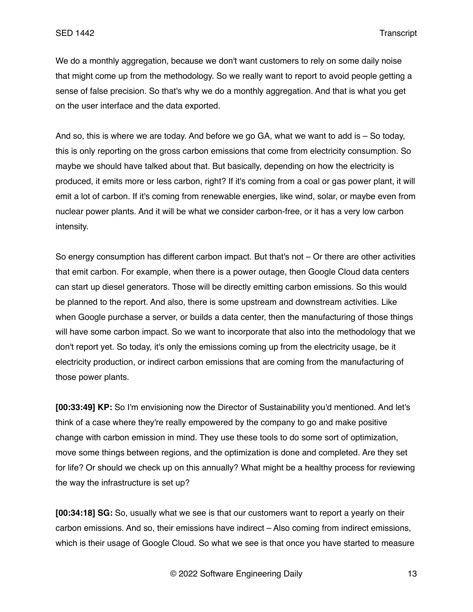We do a monthly aggregation, because we don't want customers to rely on some daily noise that might come up from the methodology. So we really want to report to avoid people getting a sense of false precision. So that's why we do a monthly aggregation. And that is what you get on the user interface and the data exported.

And so, this is where we are today. And before we go GA, what we want to add is – So today, this is only reporting on the gross carbon emissions that come from electricity consumption. So maybe we should have talked about that. But basically, depending on how the electricity is produced, it emits more or less carbon, right? If it's coming from a coal or gas power plant, it will emit a lot of carbon. If it's coming from renewable energies, like wind, solar, or maybe even from nuclear power plants. And it will be what we consider carbon-free, or it has a very low carbon intensity.

So energy consumption has different carbon impact. But that's not  $-$  Or there are other activities that emit carbon. For example, when there is a power outage, then Google Cloud data centers can start up diesel generators. Those will be directly emitting carbon emissions. So this would be planned to the report. And also, there is some upstream and downstream activities. Like when Google purchase a server, or builds a data center, then the manufacturing of those things will have some carbon impact. So we want to incorporate that also into the methodology that we don't report yet. So today, it's only the emissions coming up from the electricity usage, be it electricity production, or indirect carbon emissions that are coming from the manufacturing of those power plants.

**[00:33:49] KP:** So I'm envisioning now the Director of Sustainability you'd mentioned. And let's think of a case where they're really empowered by the company to go and make positive change with carbon emission in mind. They use these tools to do some sort of optimization, move some things between regions, and the optimization is done and completed. Are they set for life? Or should we check up on this annually? What might be a healthy process for reviewing the way the infrastructure is set up?

**[00:34:18] SG:** So, usually what we see is that our customers want to report a yearly on their carbon emissions. And so, their emissions have indirect – Also coming from indirect emissions, which is their usage of Google Cloud. So what we see is that once you have started to measure

© 2022 Software Engineering Daily 13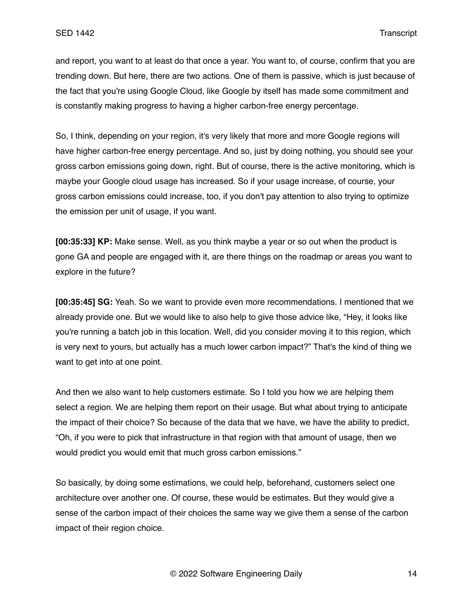and report, you want to at least do that once a year. You want to, of course, confirm that you are trending down. But here, there are two actions. One of them is passive, which is just because of the fact that you're using Google Cloud, like Google by itself has made some commitment and is constantly making progress to having a higher carbon-free energy percentage.

So, I think, depending on your region, it's very likely that more and more Google regions will have higher carbon-free energy percentage. And so, just by doing nothing, you should see your gross carbon emissions going down, right. But of course, there is the active monitoring, which is maybe your Google cloud usage has increased. So if your usage increase, of course, your gross carbon emissions could increase, too, if you don't pay attention to also trying to optimize the emission per unit of usage, if you want.

**[00:35:33] KP:** Make sense. Well, as you think maybe a year or so out when the product is gone GA and people are engaged with it, are there things on the roadmap or areas you want to explore in the future?

**[00:35:45] SG:** Yeah. So we want to provide even more recommendations. I mentioned that we already provide one. But we would like to also help to give those advice like, "Hey, it looks like you're running a batch job in this location. Well, did you consider moving it to this region, which is very next to yours, but actually has a much lower carbon impact?" That's the kind of thing we want to get into at one point.

And then we also want to help customers estimate. So I told you how we are helping them select a region. We are helping them report on their usage. But what about trying to anticipate the impact of their choice? So because of the data that we have, we have the ability to predict, "Oh, if you were to pick that infrastructure in that region with that amount of usage, then we would predict you would emit that much gross carbon emissions."

So basically, by doing some estimations, we could help, beforehand, customers select one architecture over another one. Of course, these would be estimates. But they would give a sense of the carbon impact of their choices the same way we give them a sense of the carbon impact of their region choice.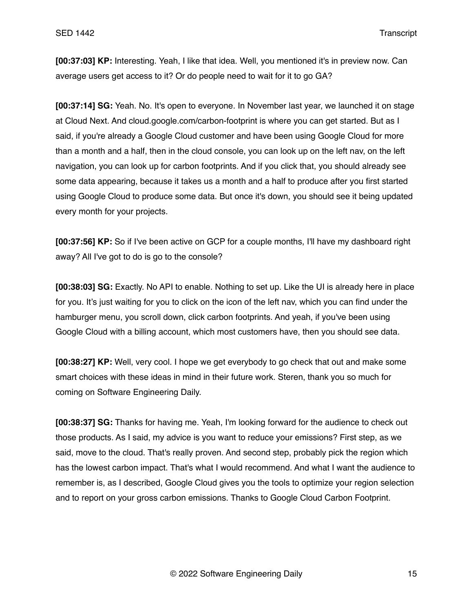**[00:37:03] KP:** Interesting. Yeah, I like that idea. Well, you mentioned it's in preview now. Can average users get access to it? Or do people need to wait for it to go GA?

**[00:37:14] SG:** Yeah. No. It's open to everyone. In November last year, we launched it on stage at Cloud Next. And cloud.google.com/carbon-footprint is where you can get started. But as I said, if you're already a Google Cloud customer and have been using Google Cloud for more than a month and a half, then in the cloud console, you can look up on the left nav, on the left navigation, you can look up for carbon footprints. And if you click that, you should already see some data appearing, because it takes us a month and a half to produce after you first started using Google Cloud to produce some data. But once it's down, you should see it being updated every month for your projects.

**[00:37:56] KP:** So if I've been active on GCP for a couple months, I'll have my dashboard right away? All I've got to do is go to the console?

**[00:38:03] SG:** Exactly. No API to enable. Nothing to set up. Like the UI is already here in place for you. It's just waiting for you to click on the icon of the left nav, which you can find under the hamburger menu, you scroll down, click carbon footprints. And yeah, if you've been using Google Cloud with a billing account, which most customers have, then you should see data.

**[00:38:27] KP:** Well, very cool. I hope we get everybody to go check that out and make some smart choices with these ideas in mind in their future work. Steren, thank you so much for coming on Software Engineering Daily.

**[00:38:37] SG:** Thanks for having me. Yeah, I'm looking forward for the audience to check out those products. As I said, my advice is you want to reduce your emissions? First step, as we said, move to the cloud. That's really proven. And second step, probably pick the region which has the lowest carbon impact. That's what I would recommend. And what I want the audience to remember is, as I described, Google Cloud gives you the tools to optimize your region selection and to report on your gross carbon emissions. Thanks to Google Cloud Carbon Footprint.